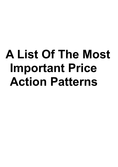# **A List Of The Most Important Price Action Patterns**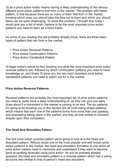To be a price action trader means having a deep understanding of the various different price action patterns that form in the market. The problem with these pattern, is that because there are so many of them that form in the market, knowing which ones you should take the time out to learn and which you should leave can be quite challenging. To solve this problem, I thought that today I would give you a list of what I believe to be the most important price action patterns you need to learn as a forex trader.

As some of you reading this will probably already know, there are three basic types of pattern that can form in the market:

- Price Action Reversal Patterns
- Price Action Continuation Patterns
- Price Action Candlestick Pattern

I'll begin today's article by first showing you what the most important price action reversal patterns are, followed by which continuation patterns you need to have knowledge on, and finally I'll show you the two most important price action candlestick patterns you need to watch out for in the market.

## **Price Action Reversal Patterns**

Reversal patterns are probably the most important set of price action patterns you need to really have a deep understanding of, as they can give you early clues about if a movement in the market is coming to an end. The six patterns I'm going to be showing you in this section are all multi-swing shape patterns, which means that each one of the patterns forms from more than one upswing and downswing taking place in the market, and they all look similar to common shapes upon their completion.

## **The Head And Shoulders Pattern**

The first price action reversal pattern we're going to look at is the head and shoulders pattern. Without doubt one of the most popular and well known price action patterns in the market, the head and shoulders formation is one which all price action traders need to memorize and understand if they want to become good at spotting reversals using price action. As you've probably already guessed, the head and shoulders pattern is a reversal pattern which has a swing structure very similar to that of person's head and shoulders.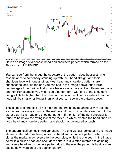

Here's an image of a bearish head and shoulders pattern which formed on the 1hour chart of EUR/USD.

You can see from the image the structure of the pattern does bear a striking resemblance to somebody standing up with their head straight and their shoulders level with one another. Most head and shoulders patterns are supposed to look like the one you can see in the image above, but a large percentage of them will actually have features which are a little different from one another. For example, you might see a pattern form with one of the shoulders being a little bit higher than the other, or the distance of two shoulders from the head will be smaller or bigger than what you can see in the pattern above.

These small differences do not alter the pattern in any meaningful way. So long as the head is always found in the middle and the two shoulders are found to be either side, it's a head and shoulder pattern. If the high of the right shoulder is found to be below the swing low of the move up which created the head, then it's not a head and shoulders pattern and should not be treated as such.

The pattern itself comes in two variations. The one we just looked at in the image above is referred to as being a bearish head and shoulders pattern, which is a signal the market may reverse to the downside, whilst the one seen in the image below is a bullish head and shoulders pattern, but is often refereed to as being an inverse head and shoulders pattern due to the way the pattern is basically an upside down version of the bearish pattern.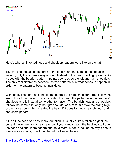

Here's what an inverted head and shoulders pattern looks like on a chart.

You can see that all the features of the pattern are the same as the bearish version, only the opposite way around. Instead of the head pointing upwards like it does with the bearish pattern it points down, as do the left and right shoulders. The only real difference between the two patterns is in what needs to happen in order for the pattern to become invalidated.

With the bullish head and shoulders pattern if the right shoulder forms below the swing low of the move up which created the head, the pattern is not a head and shoulders and is instead some other formation. The bearish head and shoulders follows the same rule, only the right shoulder cannot form above the swing high of the move down which created the head, if it does it's not a bearish head and shoulders pattern.

All in all the head and shoulders formation is usually quite a reliable signal the current movement is going to reverse. If you want to learn the best way to trade the head and shoulders pattern and get a more in-depth look at the way it should form on your charts, check out the article I've left below.

[The Easy Way To Trade The Head And Shoulder Pattern](http://www.forexmentoronline.com/easy-way-trade-head-shoulders-pattern/)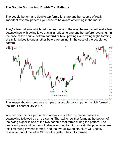## **The Double Bottom And Double Top Patterns**

The double bottom and double top formations are another couple of really important reversal patterns you need to be aware of forming in the market.

They're two patterns which get their name from the way the market will make two downswings with swing lows at similar prices to one another before reversing, (in the case of the double bottom pattern) or two upswings with swing highs forming at similar prices to one another before reversing, in the case of the double top pattern.



The image above shows an example of a double bottom pattern which formed on the 1hour chart of USD/JPY.

You can see the first part of the pattern forms after the market makes a downswing followed by an up-swing. The swing low that forms at the bottom of the swing higher is one of the two bottoms that forms during the pattern. The next swing low and bottom will always end up forming at a similar point to where this first swing low has formed, and the overall swing structure will usually resemble that of the letter W once the pattern has fully formed.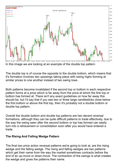

In this image we are looking at an example of the double top pattern.

The double top is of course the opposite to the double bottom, which means that it's formation involves two upswings taking place with swing highs forming at similar prices to one another instead of two swing lows.

Both patterns become invalidated if the second top or bottom in each respective pattern forms at a price which is far away from the price at which the first top or bottom has formed at. There isn't any exact guidelines on how far away this should be, but I'd say that if you see two or three large candlesticks close below the first bottom or above the first top, then it's probably not a double bottom or double top pattern.

Overall the double bottom and double top patterns are two decent reversal formations, although they can be quite difficult patterns to trade effectively, due to the way the swing seen after the second bottom or top has formed can easily turn into a retracement or consolidation soon after you would have entered a trade.

## **The Rising And Falling Wedge Pattern**

The final two price action reversal patterns we're going to look at, are the rising wedge and the falling wedge. The rising and falling wedges are two patterns which get their name from the way the market sometimes contracts before the end of an up-move or down-move. The contraction of the swings is what creates the wedge and gives the patterns their name.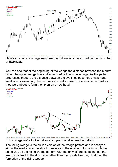

Here's an image of a large rising wedge pattern which occurred on the daily chart of EUR/USD.

You can see that at the beginning of the wedge the distance between the market hitting the upper wedge line and lower wedge line is quite large. As the pattern progresses though, the distance between the two lines becomes smaller and smaller until eventually the two lines are really close to one another, almost as if they were about to form the tip on an arrow head.



In this image we're looking at an example of a falling wedge pattern.

The falling wedge is the bullish version of the wedge pattern and is always a signal the market may be about to reverse to the upside. It forms in much the same way as the rising wedge pattern, with the only difference being that the swings contract to the downside rather than the upside like they do during the formation of the rising wedge.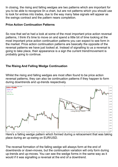In closing, the rising and falling wedges are two patterns which are important for you to be able to recognize 0n a chart, but are not patterns which you should use to look for entries into trades, due to the way many false signals will appear as the swings contract and the pattern nears completion.

## **Price Action Continuation Patterns**

So now that we've had a look at some of the most important price action reversal patterns, I think it's time to move on and spend a little bit of time looking at the most important price action continuation patterns you can expect to see form in the market. Price action continuation patterns are basically the opposite of the reversal patterns we have just looked at. Instead of signalling to us a reversal is going to take place, their appearance is a sign the current trend/movement is probably going to continue.

## **The Rising And Falling Wedge Continuation**

Whilst the rising and falling wedges are most often found to be price action reversal patterns, they can also be continuation patterns if they happen to form during downtrends and up-trends respectively.



FING 2016 2NG 0800 3NG 0800 3NG 0800 3NG 0800 3NG 0800 3NG 0800 3NG 0800 3NG 0800 31 NG 0800 31 MG 0800 300 4 0800 300 4 0800 3NG 0800 3NG 0800 3NG 0800 3NG 0800 3NG 0800 3NG 0800 3NG 0800 3NG 0800 3NG 0800 3NG 0800 3NG 08 place during an up-swing on EUR/USD.

The reversal formation of the falling wedge will always form at the end of downtrends or down-moves, but the continuation variation will only form during up-trends and up-moves. You can see the wedge forms in the same way as it would if it was signalling a reversal at the end of a downtrend.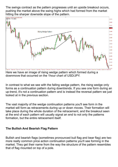The swings contract as the pattern progresses until an upside breakout occurs, pushing the market above the swing highs which had formed from the market hitting the sharper downside slope of the pattern.



Here we have an image of rising wedge pattern which formed during a downmove that occurred on the 1hour chart of USD/JPY.

In contrast to what we see with the falling wedge pattern, the rising wedge only forms as a continuation pattern during downtrends. If you see one form during an up-trend, it's not a continuation pattern and is instead the reversal pattern we just looked at in the previous section.

The vast majority of the wedge continuation patterns you'll see form in the market will form as retracements during up or down moves. Their formation will take place during the whole duration of the retracement, and the breakout seen at the end of each pattern will usually signal an end to not only the patterns formation, but the entire retracement itself.

#### **The Bullish And Bearish Flag Pattern**

Bullish and bearish flags (sometimes pronounced bull flag and bear flag) are two more really common price action continuation patterns you'll see forming in the market. They get their name from the way the structure of the pattern resembles that of flag mounted on top of a pole.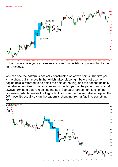

In the image above you can see an example of a bullish flag pattern that formed on AUD/USD.

You can see the pattern is basically constructed off of two points. The first point is the sharp bullish move higher which takes place right before retracement begins (this is refereed to as being the pole of the flag) and the second point is the retracement itself. The retracement is the flag part of the pattern and should always terminate before reaching the 50% fibonacci retracement level of the downswing which creates the flag pole. If you see the market retrace beyond the 50% level it's usually a sign the pattern is changing from a flag into something else.



4 May 2016 5 May 08:00 6 May 08:00 6 May 16:00 9 May 08:00 10 May 08:00 10 May 16:00 11 May 08:00 12 May 08:00 12 May 08:00 18 May 08:00 16 May 16:00 18 May 16:00 18 May 08:00 18 May 16:00 18 May 16:00 18 May 16:00 18 May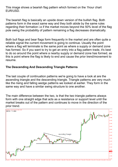This image shows a bearish flag pattern which formed on the 1hour chart EUR/USD.

The bearish flag is basically an upside down version of the bullish flag. Both patterns form in the exact same way and they both abide by the same rules regarding their formation i.e if the market moves beyond the 50% level of the flag pole swing the probability of pattern remaining a flag decreases dramatically.

Both bull flags and bear flags form frequently in the market and are often quite a reliable signal the current movement is going to continue. Usually the point where a flag will terminate is the same point as where a supply or demand zone has formed. So if you want to try to get an entry into a flag pattern trade, it's best to do so around the point where a nearby supply or demand zone has formed, as this is point where the flag is likely to end and cause the prior trend/movement to resume.

## **The Descending And Descending Triangle Patterns**

The last couple of continuation patterns we're going to have a look at are the ascending triangle and the descending triangle. Triangle patterns are very much like the rising and falling wedge patterns we looked at earlier. They form in the same way and have a similar swing structure to one another.

The main difference between the two, is that the two triangle patterns always form with one straight edge that acts as a resistance or support level until the market breaks out of the pattern and continues to move in the direction of the prior trend.

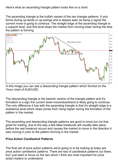Here's what an ascending triangle pattern looks like on a chart.

The ascending triangle is the bullish variant of the two triangle patterns. It only forms during up-tends or up-swings and is always seen as being a signal the current move is going to continue. The straight edge of the ascending triangle is a support level, and this level stops the market from moving lower during the time the pattern is forming.



In this image you can see a descending triangle pattern which formed on the 1hour chart of AUD/USD.

The descending triangle is the bearish version of the triangle pattern and it's formation is a sign the current down-move/downtrend is likely going to continue. The only difference it has with the ascending triangle is that it's straight edge is a resistance level which stops prices from rising higher during the formation of the pattern in the market.

The ascending and descending triangle patterns are good to know but not that great for trading, due to the way a few false breakouts will usually take place before the real breakout occurs and causes the market to move in the direction it was moving in prior to the pattern forming in the market.

#### **Price Action Candlestick Patterns**

The final set of price action patterns we're going to to be looking at today are price action candlestick patterns. There are lots of candlestick patterns out there, but I just want to focus on the two which I think are most important for price action traders to understand.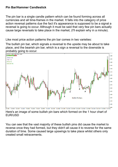#### **Pin Bar/Hammer Candlestick**

The pin bar is a single candle pattern which can be found forming across all currencies and all time-frames in the market. It falls into the category of price action reversal patterns due the fact it's appearance is supposed to be a signal a reversal is going to occur. Although it must be said that very few pin bars actually cause large reversals to take place in the market, (I'll explain why in a minute).

Like most price action patterns the pin bar comes in two varieties:

The bullish pin bar, which signals a reversal to the upside may be about to take place, and the bearish pin bar, which is a sign a reversal to the downside is probably going to occur.



Here's an image of some bullish pin bars which formed on the 1 hour chart of EUR/USD

You can see that the vast majority of these bullish pins did cause the market to reverse once they had formed, but they didn't all cause it to reverse for the same duration of time. Some caused large upswings to take place whilst others only created small retracements.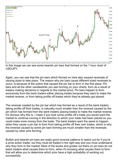

In this image we can see some bearish pin bars that formed on the 1 hour chart of USD/JPY.

Again, you can see that the pin bars which formed on here also caused reversals of varying sizes to take place. The reason why pin bars cause different sized reversals to occur, is because of the action that caused the pin bar to form in the first place. Pin bars and all the other candlesticks you see forming on your charts, form as a result of traders making decisions in regards to the market price. Pin bars happen to form exclusively from the bank traders either placing trades because they want to make the market reverse, or from taking profits off trades which they've already got placed.

The reversal created by the pin bar which has formed as a result of the bank traders taking profits off their trades, is naturally much smaller than the reversal caused by the pin which has formed from the bank traders placing trades to make the market reverse. It's obvious why this is, I mean if you took some profits off a trade you would want the market to continue moving in the direction to which your trade had been placed so you could make more money from the trade. The bank traders want the same to happen when they cause a pin bar to form from taking profits off their own trades, which is why the reversal caused by some pin bars forming are much smaller than the reversals caused by other pins forming.

Bullish and bearish pin bars are really good reversal patterns to watch out for if you're a price action trader, but they must be traded in the right way and you must understand why they form in the market. Most of the books and guides out there on pin bars do not teach traders what causes them to form, when it's knowing what causes them to form that will allow you to determine which pins have a high probability of working out successfully.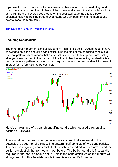If you want to learn more about what causes pin bars to form in the market, go and check out some of the other pin bar articles I have available on the site, or take a look at the Pin Bars Uncovered book found on the cool stuff page, as this is a book dedicated solely to helping traders understand why pin bars form in the market and how to trade them profitably.

[The Definite Guide To Trading Pin Bars](http://www.forexmentoronline.com/the-definite-guide-to-trading-pin-bars/) 

#### **Engulfing Candlesticks**

The other really important candlestick pattern I think price action traders need to have knowledge on is the engulfing candlestick. Like the pin bar the engulfing candle is a reversal pattern, which means that a reversal is supposed to take place immediately after you see one form in the market. Unlike the pin bar the engulfing candlestick is a two bar reversal pattern, a pattern which requires there to be two candlesticks present in order for it's formation to be complete.



Here's an example of a bearish engulfing candle which caused a reversal to occur on EUR/USD.

The formation of a bearish engulf is always a signal that a reversal to the downside is about to take place. The pattern itself consists of two candlesticks. The bearish engulfing candlestick itself, which I've marked with an arrow, and the bullish candlestick that formed an hour before. The bullish candle is first candle required in the bearish engulf setup. This is the candlestick which the market will always engulf with a bearish candle immediately after it's formation.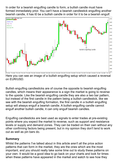In order for a bearish engulfing candle to form, a bullish candle must have formed immediately prior. You can't have a bearish candlestick engulfing another bearish candle, it has t0 be a bullish candle in order for it to be a bearish engulf.



Here you can see an image of a bullish engulfing setup which caused a reversal on EUR/USD.

Bullish engulfing candlesticks are of course the opposite to bearish engulfing candles, which means their appearance is a sign the market is going to reverse to the upside. Like the bearish engulfing candle they are also a two bar pattern, but instead of the first candle in the pattern being a bullish candlestick, like we see with the bearish engulfing formation, the first candle in a bullish engulfing setup will always engulf a bearish candle. A bullish engulfing candle cannot engulf another bullish candle, it can only engulf bearish candles.

Engulfing candlesticks are best used as signals to enter trades at pre-existing points where you expect the market to reverse, such as support and resistance levels or supply and demand zones. They can be traded on their own without any other confirming factors being present, but in my opinion they don't tend to work out as well as pin bars do.

#### **Summary**

Whilst the patterns I've talked about in this article aren't all the price action patterns that can form in the market, they are the ones which are the most important, and you should really take some time out to study these patterns on your own. It would be a good idea to go back on your charts and look for times when these patterns have appeared in the market and watch to see how they